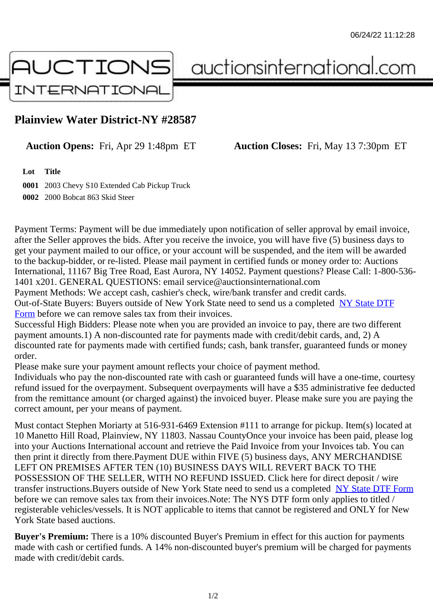## Plainview Water District-NY #28587

Auction Opens: Fri, Apr 29 1:48pm ET Auction Closes: Fri, May 13 7:30pm ET

Lot Title

0001 2003 Chevy S10 Extended Cab Pickup Truck 0002 2000 Bobcat 863 Skid Steer

Payment Terms: Payment will be due immediately upon notification of seller approval by email invoice, after the Seller approves the bids. After you receive the invoice, you will have five (5) business days to get your payment mailed to our office, or your account will be suspended, and the item will be awarded to the backup-bidder, or re-listed. Please mail payment in certified funds or money order to: Auctions International, 11167 Big Tree Road, East Aurora, NY 14052. Payment questions? Please Call: 1-800-53 1401 x201. GENERAL QUESTIONS: email service@auctionsinternational.com

Payment Methods: We accept cash, cashier's check, wire/bank transfer and credit cards. Out-of-State Buyers: Buyers outside of New York State need to send us a com blestate DTF Form before we can remove sales tax from their invoices.

Successful High Bidders: Please note when you are provided an invoice to pay, there are two different payment amounts.1) A non-discounted rate for payments made with credit/de[bit cards, and](https://www.auctionsinternational.com/auxiliary/downloads/DTF_Form/dtf_fill_in.pdf), 2) A [disco](https://www.auctionsinternational.com/auxiliary/downloads/DTF_Form/dtf_fill_in.pdf)unted rate for payments made with certified funds; cash, bank transfer, guaranteed funds or mone order.

Please make sure your payment amount reflects your choice of payment method.

Individuals who pay the non-discounted rate with cash or quaranteed funds will have a one-time, courte refund issued for the overpayment. Subsequent overpayments will have a \$35 administrative fee deduc from the remittance amount (or charged against) the invoiced buyer. Please make sure you are paying correct amount, per your means of payment.

Must contact Stephen Moriarty at 516-931-6469 Extension #111 to arrange for pickup. Item(s) located at 10 Manetto Hill Road, Plainview, NY 11803. Nassau CountyOnce your invoice has been paid, please Ic into your Auctions International account and retrieve the Paid Invoice from your Invoices tab. You can then print it directly from there.Payment DUE within FIVE (5) business days, ANY MERCHANDISE LEFT ON PREMISES AFTER TEN (10) BUSINESS DAYS WILL REVERT BACK TO THE POSSESSION OF THE SELLER, WITH NO REFUND ISSUED. Click here for direct deposit / wire transfer instructions. Buyers outside of New York State need to send us a commole and NTF Form before we can remove sales tax from their invoices.Note: The NYS DTF form only applies to titled / registerable vehicles/vessels. It is NOT applicable to items that cannot be registered and ONLY for New York State based auctions.

Buyer's Premium: There is a 10% discounted Buyer's Premium in effect for this auction for payments made with cash or certified funds. A 14% non-discounted buyer's premium will be charged for payments made with credit/debit cards.